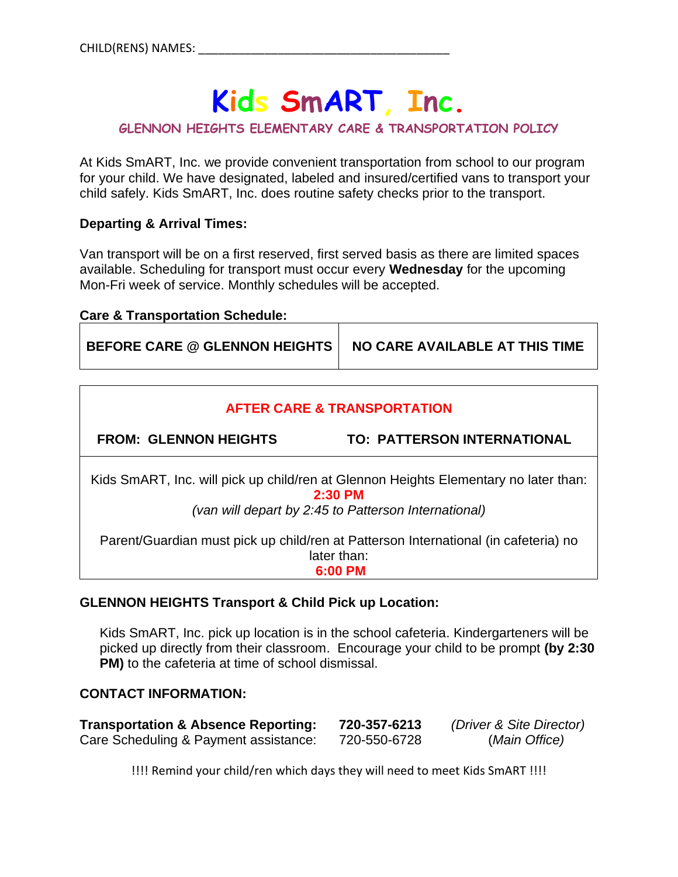# **Kids SmART, Inc.**

### **GLENNON HEIGHTS ELEMENTARY CARE & TRANSPORTATION POLICY**

At Kids SmART, Inc. we provide convenient transportation from school to our program for your child. We have designated, labeled and insured/certified vans to transport your child safely. Kids SmART, Inc. does routine safety checks prior to the transport.

### **Departing & Arrival Times:**

Van transport will be on a first reserved, first served basis as there are limited spaces available. Scheduling for transport must occur every **Wednesday** for the upcoming Mon-Fri week of service. Monthly schedules will be accepted.

# **Care & Transportation Schedule:**

| BEFORE CARE @ GLENNON HEIGHTS | NO CARE AVAILABLE AT THIS TIME |
|-------------------------------|--------------------------------|
|-------------------------------|--------------------------------|

| <b>AFTER CARE &amp; TRANSPORTATION</b>                                                                                                                    |                                    |  |  |  |
|-----------------------------------------------------------------------------------------------------------------------------------------------------------|------------------------------------|--|--|--|
| <b>FROM: GLENNON HEIGHTS</b>                                                                                                                              | <b>TO: PATTERSON INTERNATIONAL</b> |  |  |  |
| Kids SmART, Inc. will pick up child/ren at Glennon Heights Elementary no later than:<br>$2:30$ PM<br>(van will depart by 2:45 to Patterson International) |                                    |  |  |  |
| Parent/Guardian must pick up child/ren at Patterson International (in cafeteria) no<br>later than:<br>6:00 PM                                             |                                    |  |  |  |

### **GLENNON HEIGHTS Transport & Child Pick up Location:**

Kids SmART, Inc. pick up location is in the school cafeteria. Kindergarteners will be picked up directly from their classroom. Encourage your child to be prompt **(by 2:30 PM)** to the cafeteria at time of school dismissal.

#### **CONTACT INFORMATION:**

| <b>Transportation &amp; Absence Reporting:</b> | 720-357-6213 | (Driver & Site Director) |
|------------------------------------------------|--------------|--------------------------|
| Care Scheduling & Payment assistance:          | 720-550-6728 | (Main Office)            |

!!!! Remind your child/ren which days they will need to meet Kids SmART !!!!